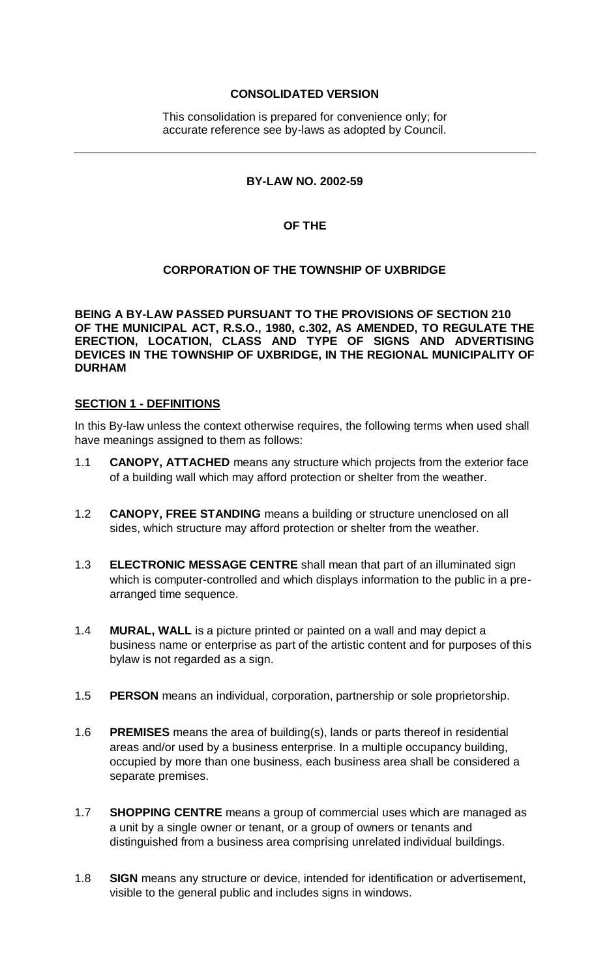### **CONSOLIDATED VERSION**

This consolidation is prepared for convenience only; for accurate reference see by-laws as adopted by Council.

#### **BY-LAW NO. 2002-59**

#### **OF THE**

#### **CORPORATION OF THE TOWNSHIP OF UXBRIDGE**

**BEING A BY-LAW PASSED PURSUANT TO THE PROVISIONS OF SECTION 210 OF THE MUNICIPAL ACT, R.S.O., 1980, c.302, AS AMENDED, TO REGULATE THE ERECTION, LOCATION, CLASS AND TYPE OF SIGNS AND ADVERTISING DEVICES IN THE TOWNSHIP OF UXBRIDGE, IN THE REGIONAL MUNICIPALITY OF DURHAM**

#### **SECTION 1 - DEFINITIONS**

In this By-law unless the context otherwise requires, the following terms when used shall have meanings assigned to them as follows:

- 1.1 **CANOPY, ATTACHED** means any structure which projects from the exterior face of a building wall which may afford protection or shelter from the weather.
- 1.2 **CANOPY, FREE STANDING** means a building or structure unenclosed on all sides, which structure may afford protection or shelter from the weather.
- 1.3 **ELECTRONIC MESSAGE CENTRE** shall mean that part of an illuminated sign which is computer-controlled and which displays information to the public in a prearranged time sequence.
- 1.4 **MURAL, WALL** is a picture printed or painted on a wall and may depict a business name or enterprise as part of the artistic content and for purposes of this bylaw is not regarded as a sign.
- 1.5 **PERSON** means an individual, corporation, partnership or sole proprietorship.
- 1.6 **PREMISES** means the area of building(s), lands or parts thereof in residential areas and/or used by a business enterprise. In a multiple occupancy building, occupied by more than one business, each business area shall be considered a separate premises.
- 1.7 **SHOPPING CENTRE** means a group of commercial uses which are managed as a unit by a single owner or tenant, or a group of owners or tenants and distinguished from a business area comprising unrelated individual buildings.
- 1.8 **SIGN** means any structure or device, intended for identification or advertisement, visible to the general public and includes signs in windows.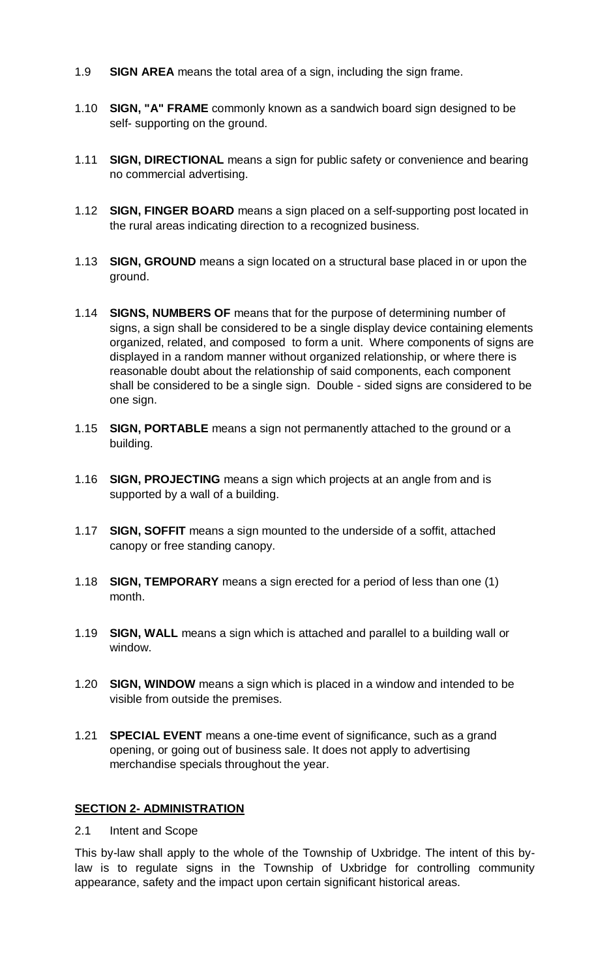- 1.9 **SIGN AREA** means the total area of a sign, including the sign frame.
- 1.10 **SIGN, "A" FRAME** commonly known as a sandwich board sign designed to be self- supporting on the ground.
- 1.11 **SIGN, DIRECTIONAL** means a sign for public safety or convenience and bearing no commercial advertising.
- 1.12 **SIGN, FINGER BOARD** means a sign placed on a self-supporting post located in the rural areas indicating direction to a recognized business.
- 1.13 **SIGN, GROUND** means a sign located on a structural base placed in or upon the ground.
- 1.14 **SIGNS, NUMBERS OF** means that for the purpose of determining number of signs, a sign shall be considered to be a single display device containing elements organized, related, and composed to form a unit. Where components of signs are displayed in a random manner without organized relationship, or where there is reasonable doubt about the relationship of said components, each component shall be considered to be a single sign. Double - sided signs are considered to be one sign.
- 1.15 **SIGN, PORTABLE** means a sign not permanently attached to the ground or a building.
- 1.16 **SIGN, PROJECTING** means a sign which projects at an angle from and is supported by a wall of a building.
- 1.17 **SIGN, SOFFIT** means a sign mounted to the underside of a soffit, attached canopy or free standing canopy.
- 1.18 **SIGN, TEMPORARY** means a sign erected for a period of less than one (1) month.
- 1.19 **SIGN, WALL** means a sign which is attached and parallel to a building wall or window.
- 1.20 **SIGN, WINDOW** means a sign which is placed in a window and intended to be visible from outside the premises.
- 1.21 **SPECIAL EVENT** means a one-time event of significance, such as a grand opening, or going out of business sale. It does not apply to advertising merchandise specials throughout the year.

#### **SECTION 2- ADMINISTRATION**

2.1 Intent and Scope

This by-law shall apply to the whole of the Township of Uxbridge. The intent of this bylaw is to regulate signs in the Township of Uxbridge for controlling community appearance, safety and the impact upon certain significant historical areas.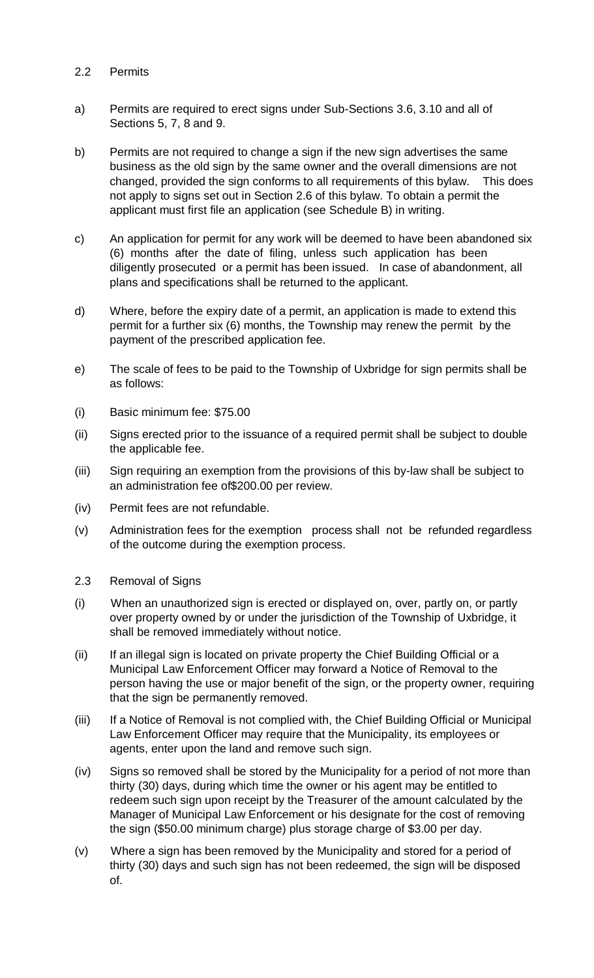#### 2.2 Permits

- a) Permits are required to erect signs under Sub-Sections 3.6, 3.10 and all of Sections 5, 7, 8 and 9.
- b) Permits are not required to change a sign if the new sign advertises the same business as the old sign by the same owner and the overall dimensions are not changed, provided the sign conforms to all requirements of this bylaw. This does not apply to signs set out in Section 2.6 of this bylaw. To obtain a permit the applicant must first file an application (see Schedule B) in writing.
- c) An application for permit for any work will be deemed to have been abandoned six (6) months after the date of filing, unless such application has been diligently prosecuted or a permit has been issued. In case of abandonment, all plans and specifications shall be returned to the applicant.
- d) Where, before the expiry date of a permit, an application is made to extend this permit for a further six (6) months, the Township may renew the permit by the payment of the prescribed application fee.
- e) The scale of fees to be paid to the Township of Uxbridge for sign permits shall be as follows:
- (i) Basic minimum fee: \$75.00
- (ii) Signs erected prior to the issuance of a required permit shall be subject to double the applicable fee.
- (iii) Sign requiring an exemption from the provisions of this by-law shall be subject to an administration fee of\$200.00 per review.
- (iv) Permit fees are not refundable.
- (v) Administration fees for the exemption process shall not be refunded regardless of the outcome during the exemption process.
- 2.3 Removal of Signs
- (i) When an unauthorized sign is erected or displayed on, over, partly on, or partly over property owned by or under the jurisdiction of the Township of Uxbridge, it shall be removed immediately without notice.
- (ii) If an illegal sign is located on private property the Chief Building Official or a Municipal Law Enforcement Officer may forward a Notice of Removal to the person having the use or major benefit of the sign, or the property owner, requiring that the sign be permanently removed.
- (iii) If a Notice of Removal is not complied with, the Chief Building Official or Municipal Law Enforcement Officer may require that the Municipality, its employees or agents, enter upon the land and remove such sign.
- (iv) Signs so removed shall be stored by the Municipality for a period of not more than thirty (30) days, during which time the owner or his agent may be entitled to redeem such sign upon receipt by the Treasurer of the amount calculated by the Manager of Municipal Law Enforcement or his designate for the cost of removing the sign (\$50.00 minimum charge) plus storage charge of \$3.00 per day.
- (v) Where a sign has been removed by the Municipality and stored for a period of thirty (30) days and such sign has not been redeemed, the sign will be disposed of.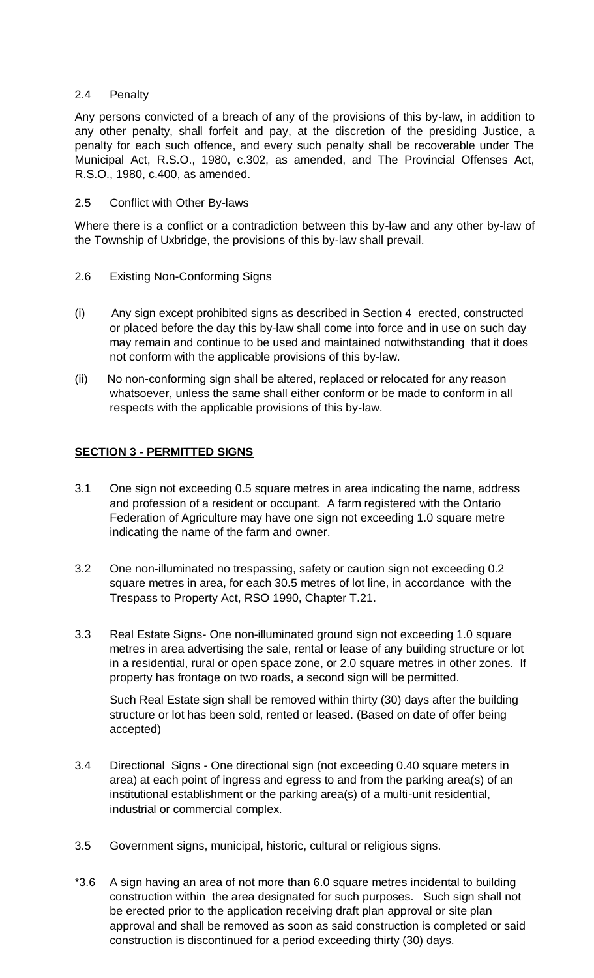#### 2.4 Penalty

Any persons convicted of a breach of any of the provisions of this by-law, in addition to any other penalty, shall forfeit and pay, at the discretion of the presiding Justice, a penalty for each such offence, and every such penalty shall be recoverable under The Municipal Act, R.S.O., 1980, c.302, as amended, and The Provincial Offenses Act, R.S.O., 1980, c.400, as amended.

#### 2.5 Conflict with Other By-laws

Where there is a conflict or a contradiction between this by-law and any other by-law of the Township of Uxbridge, the provisions of this by-law shall prevail.

- 2.6 Existing Non-Conforming Signs
- (i) Any sign except prohibited signs as described in Section 4 erected, constructed or placed before the day this by-law shall come into force and in use on such day may remain and continue to be used and maintained notwithstanding that it does not conform with the applicable provisions of this by-law.
- (ii) No non-conforming sign shall be altered, replaced or relocated for any reason whatsoever, unless the same shall either conform or be made to conform in all respects with the applicable provisions of this by-law.

#### **SECTION 3 - PERMITTED SIGNS**

- 3.1 One sign not exceeding 0.5 square metres in area indicating the name, address and profession of a resident or occupant. A farm registered with the Ontario Federation of Agriculture may have one sign not exceeding 1.0 square metre indicating the name of the farm and owner.
- 3.2 One non-illuminated no trespassing, safety or caution sign not exceeding 0.2 square metres in area, for each 30.5 metres of lot line, in accordance with the Trespass to Property Act, RSO 1990, Chapter T.21.
- 3.3 Real Estate Signs- One non-illuminated ground sign not exceeding 1.0 square metres in area advertising the sale, rental or lease of any building structure or lot in a residential, rural or open space zone, or 2.0 square metres in other zones. If property has frontage on two roads, a second sign will be permitted.

Such Real Estate sign shall be removed within thirty (30) days after the building structure or lot has been sold, rented or leased. (Based on date of offer being accepted)

- 3.4 Directional Signs One directional sign (not exceeding 0.40 square meters in area) at each point of ingress and egress to and from the parking area(s) of an institutional establishment or the parking area(s) of a multi-unit residential, industrial or commercial complex.
- 3.5 Government signs, municipal, historic, cultural or religious signs.
- \*3.6 A sign having an area of not more than 6.0 square metres incidental to building construction within the area designated for such purposes. Such sign shall not be erected prior to the application receiving draft plan approval or site plan approval and shall be removed as soon as said construction is completed or said construction is discontinued for a period exceeding thirty (30) days.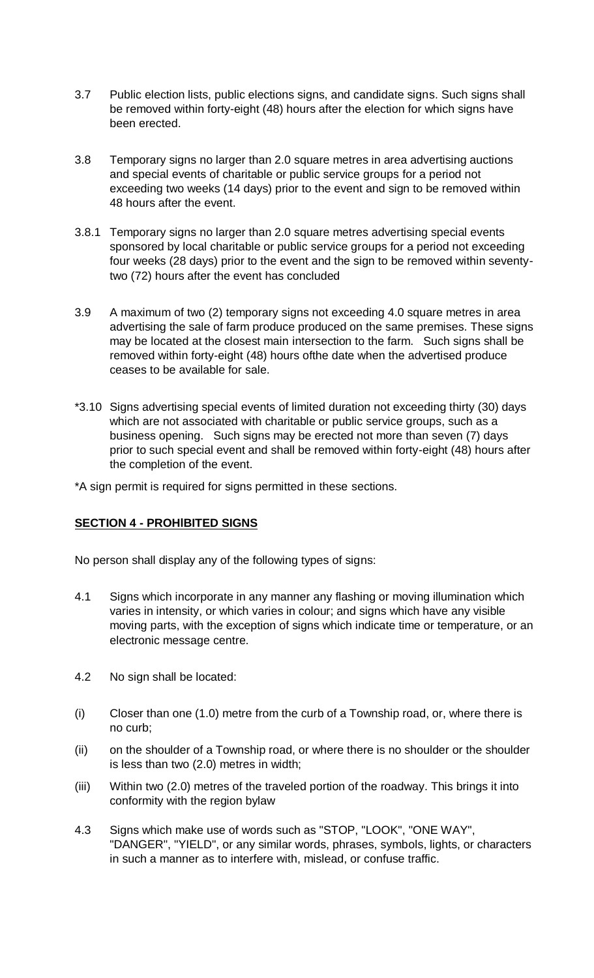- 3.7 Public election lists, public elections signs, and candidate signs. Such signs shall be removed within forty-eight (48) hours after the election for which signs have been erected.
- 3.8 Temporary signs no larger than 2.0 square metres in area advertising auctions and special events of charitable or public service groups for a period not exceeding two weeks (14 days) prior to the event and sign to be removed within 48 hours after the event.
- 3.8.1 Temporary signs no larger than 2.0 square metres advertising special events sponsored by local charitable or public service groups for a period not exceeding four weeks (28 days) prior to the event and the sign to be removed within seventytwo (72) hours after the event has concluded
- 3.9 A maximum of two (2) temporary signs not exceeding 4.0 square metres in area advertising the sale of farm produce produced on the same premises. These signs may be located at the closest main intersection to the farm. Such signs shall be removed within forty-eight (48) hours ofthe date when the advertised produce ceases to be available for sale.
- \*3.10 Signs advertising special events of limited duration not exceeding thirty (30) days which are not associated with charitable or public service groups, such as a business opening. Such signs may be erected not more than seven (7) days prior to such special event and shall be removed within forty-eight (48) hours after the completion of the event.

\*A sign permit is required for signs permitted in these sections.

# **SECTION 4 - PROHlBITED SIGNS**

No person shall display any of the following types of signs:

- 4.1 Signs which incorporate in any manner any flashing or moving illumination which varies in intensity, or which varies in colour; and signs which have any visible moving parts, with the exception of signs which indicate time or temperature, or an electronic message centre.
- 4.2 No sign shall be located:
- (i) Closer than one (1.0) metre from the curb of a Township road, or, where there is no curb;
- (ii) on the shoulder of a Township road, or where there is no shoulder or the shoulder is less than two (2.0) metres in width;
- (iii) Within two (2.0) metres of the traveled portion of the roadway. This brings it into conformity with the region bylaw
- 4.3 Signs which make use of words such as "STOP, "LOOK", "ONE WAY", "DANGER", "YIELD", or any similar words, phrases, symbols, lights, or characters in such a manner as to interfere with, mislead, or confuse traffic.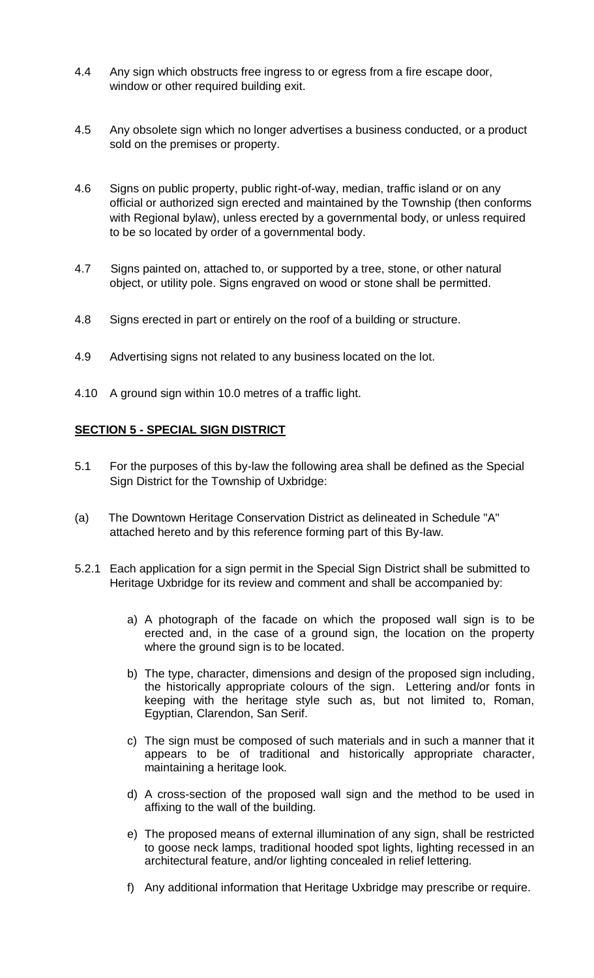- 4.4 Any sign which obstructs free ingress to or egress from a fire escape door, window or other required building exit.
- 4.5 Any obsolete sign which no longer advertises a business conducted, or a product sold on the premises or property.
- 4.6 Signs on public property, public right-of-way, median, traffic island or on any official or authorized sign erected and maintained by the Township (then conforms with Regional bylaw), unless erected by a governmental body, or unless required to be so located by order of a governmental body.
- 4.7 Signs painted on, attached to, or supported by a tree, stone, or other natural object, or utility pole. Signs engraved on wood or stone shall be permitted.
- 4.8 Signs erected in part or entirely on the roof of a building or structure.
- 4.9 Advertising signs not related to any business located on the lot.
- 4.10 A ground sign within 10.0 metres of a traffic light.

### **SECTION 5 - SPECIAL SIGN DISTRICT**

- 5.1 For the purposes of this by-law the following area shall be defined as the Special Sign District for the Township of Uxbridge:
- (a) The Downtown Heritage Conservation District as delineated in Schedule "A" attached hereto and by this reference forming part of this By-law.
- 5.2.1 Each application for a sign permit in the Special Sign District shall be submitted to Heritage Uxbridge for its review and comment and shall be accompanied by:
	- a) A photograph of the facade on which the proposed wall sign is to be erected and, in the case of a ground sign, the location on the property where the ground sign is to be located.
	- b) The type, character, dimensions and design of the proposed sign including, the historically appropriate colours of the sign. Lettering and/or fonts in keeping with the heritage style such as, but not limited to, Roman, Egyptian, Clarendon, San Serif.
	- c) The sign must be composed of such materials and in such a manner that it appears to be of traditional and historically appropriate character, maintaining a heritage look.
	- d) A cross-section of the proposed wall sign and the method to be used in affixing to the wall of the building.
	- e) The proposed means of external illumination of any sign, shall be restricted to goose neck lamps, traditional hooded spot lights, lighting recessed in an architectural feature, and/or lighting concealed in relief lettering.
	- f) Any additional information that Heritage Uxbridge may prescribe or require.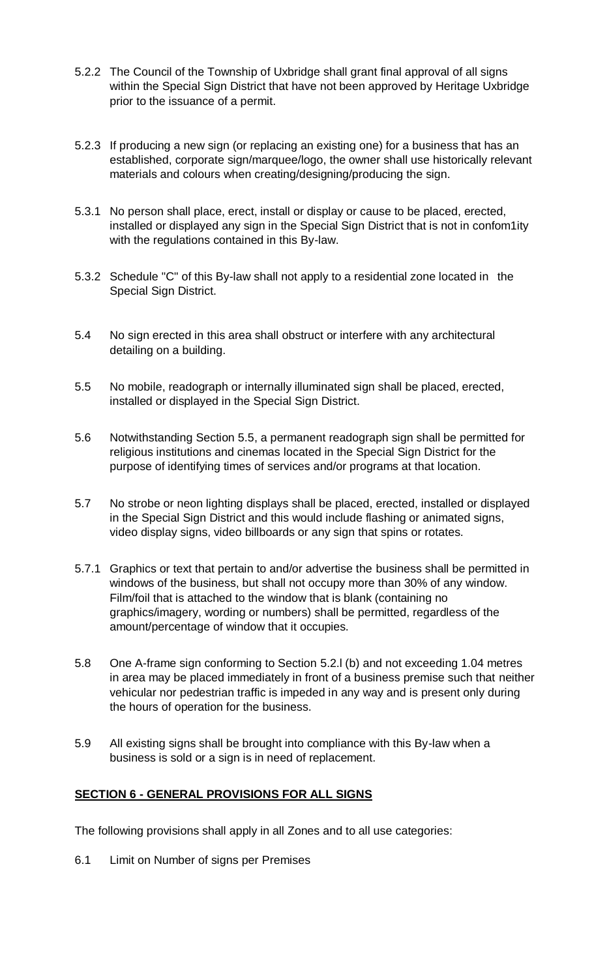- 5.2.2 The Council of the Township of Uxbridge shall grant final approval of all signs within the Special Sign District that have not been approved by Heritage Uxbridge prior to the issuance of a permit.
- 5.2.3 If producing a new sign (or replacing an existing one) for a business that has an established, corporate sign/marquee/logo, the owner shall use historically relevant materials and colours when creating/designing/producing the sign.
- 5.3.1 No person shall place, erect, install or display or cause to be placed, erected, installed or displayed any sign in the Special Sign District that is not in confom1ity with the regulations contained in this By-law.
- 5.3.2 Schedule "C" of this By-law shall not apply to a residential zone located in the Special Sign District.
- 5.4 No sign erected in this area shall obstruct or interfere with any architectural detailing on a building.
- 5.5 No mobile, readograph or internally illuminated sign shall be placed, erected, installed or displayed in the Special Sign District.
- 5.6 Notwithstanding Section 5.5, a permanent readograph sign shall be permitted for religious institutions and cinemas located in the Special Sign District for the purpose of identifying times of services and/or programs at that location.
- 5.7 No strobe or neon lighting displays shall be placed, erected, installed or displayed in the Special Sign District and this would include flashing or animated signs, video display signs, video billboards or any sign that spins or rotates.
- 5.7.1 Graphics or text that pertain to and/or advertise the business shall be permitted in windows of the business, but shall not occupy more than 30% of any window. Film/foil that is attached to the window that is blank (containing no graphics/imagery, wording or numbers) shall be permitted, regardless of the amount/percentage of window that it occupies.
- 5.8 One A-frame sign conforming to Section 5.2.l (b) and not exceeding 1.04 metres in area may be placed immediately in front of a business premise such that neither vehicular nor pedestrian traffic is impeded in any way and is present only during the hours of operation for the business.
- 5.9 All existing signs shall be brought into compliance with this By-law when a business is sold or a sign is in need of replacement.

### **SECTION 6 - GENERAL PROVISIONS FOR ALL SIGNS**

The following provisions shall apply in all Zones and to all use categories:

6.1 Limit on Number of signs per Premises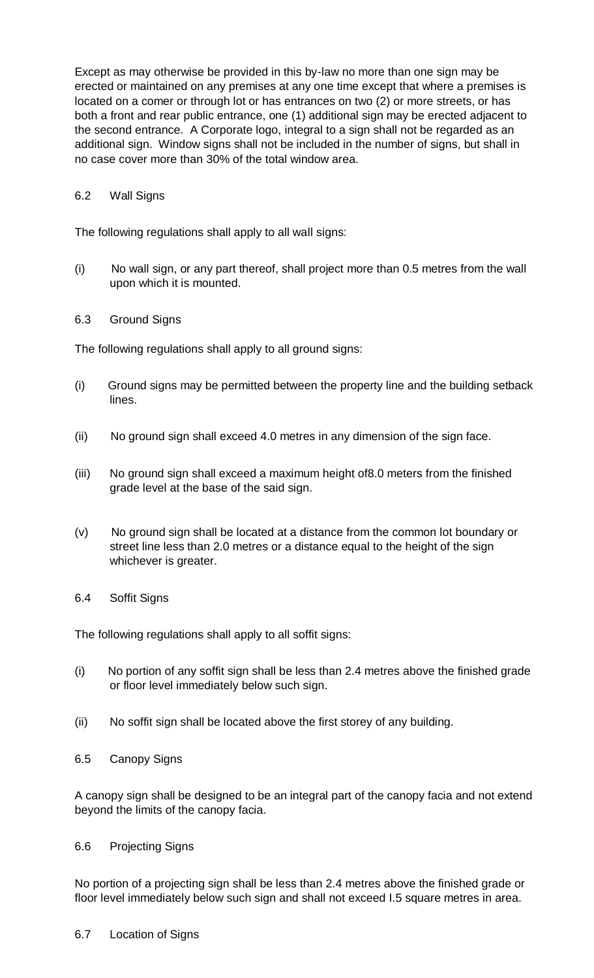Except as may otherwise be provided in this by-law no more than one sign may be erected or maintained on any premises at any one time except that where a premises is located on a comer or through lot or has entrances on two (2) or more streets, or has both a front and rear public entrance, one (1) additional sign may be erected adjacent to the second entrance. A Corporate logo, integral to a sign shall not be regarded as an additional sign. Window signs shall not be included in the number of signs, but shall in no case cover more than 30% of the total window area.

## 6.2 Wall Signs

The following regulations shall apply to all wall signs:

- (i) No wall sign, or any part thereof, shall project more than 0.5 metres from the wall upon which it is mounted.
- 6.3 Ground Signs

The following regulations shall apply to all ground signs:

- (i) Ground signs may be permitted between the property line and the building setback lines.
- (ii) No ground sign shall exceed 4.0 metres in any dimension of the sign face.
- (iii) No ground sign shall exceed a maximum height of8.0 meters from the finished grade level at the base of the said sign.
- (v) No ground sign shall be located at a distance from the common lot boundary or street line less than 2.0 metres or a distance equal to the height of the sign whichever is greater.
- 6.4 Soffit Signs

The following regulations shall apply to all soffit signs:

- (i) No portion of any soffit sign shall be less than 2.4 metres above the finished grade or floor level immediately below such sign.
- (ii) No soffit sign shall be located above the first storey of any building.
- 6.5 Canopy Signs

A canopy sign shall be designed to be an integral part of the canopy facia and not extend beyond the limits of the canopy facia.

### 6.6 Projecting Signs

No portion of a projecting sign shall be less than 2.4 metres above the finished grade or floor level immediately below such sign and shall not exceed I.5 square metres in area.

6.7 Location of Signs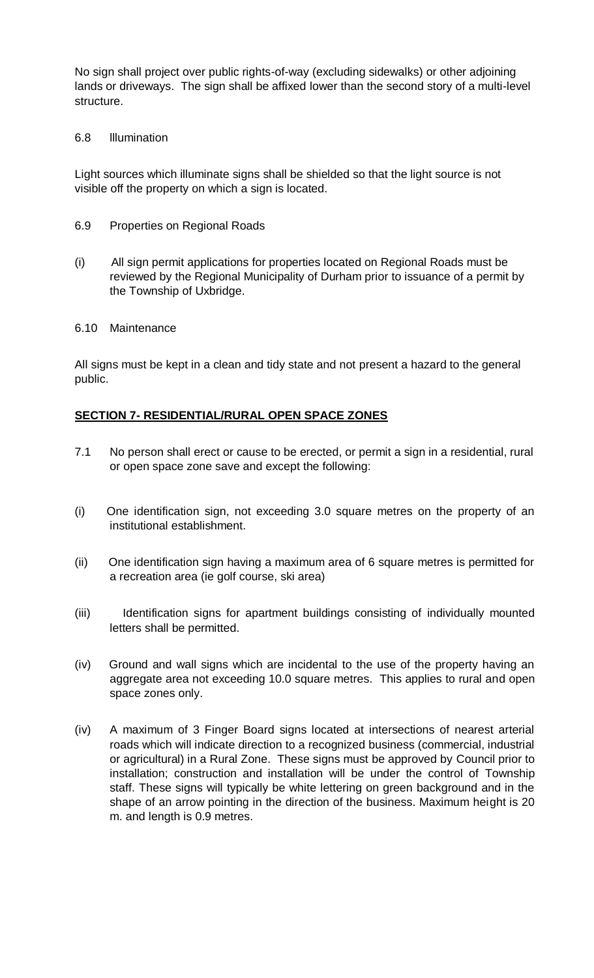No sign shall project over public rights-of-way (excluding sidewalks) or other adjoining lands or driveways. The sign shall be affixed lower than the second story of a multi-level structure.

### 6.8 lllumination

Light sources which illuminate signs shall be shielded so that the light source is not visible off the property on which a sign is located.

- 6.9 Properties on Regional Roads
- (i) All sign permit applications for properties located on Regional Roads must be reviewed by the Regional Municipality of Durham prior to issuance of a permit by the Township of Uxbridge.
- 6.10 Maintenance

All signs must be kept in a clean and tidy state and not present a hazard to the general public.

## **SECTION 7- RESIDENTIAL/RURAL OPEN SPACE ZONES**

- 7.1 No person shall erect or cause to be erected, or permit a sign in a residential, rural or open space zone save and except the following:
- (i) One identification sign, not exceeding 3.0 square metres on the property of an institutional establishment.
- (ii) One identification sign having a maximum area of 6 square metres is permitted for a recreation area (ie golf course, ski area)
- (iii) Identification signs for apartment buildings consisting of individually mounted letters shall be permitted.
- (iv) Ground and wall signs which are incidental to the use of the property having an aggregate area not exceeding 10.0 square metres. This applies to rural and open space zones only.
- (iv) A maximum of 3 Finger Board signs located at intersections of nearest arterial roads which will indicate direction to a recognized business (commercial, industrial or agricultural) in a Rural Zone. These signs must be approved by Council prior to installation; construction and installation will be under the control of Township staff. These signs will typically be white lettering on green background and in the shape of an arrow pointing in the direction of the business. Maximum height is 20 m. and length is 0.9 metres.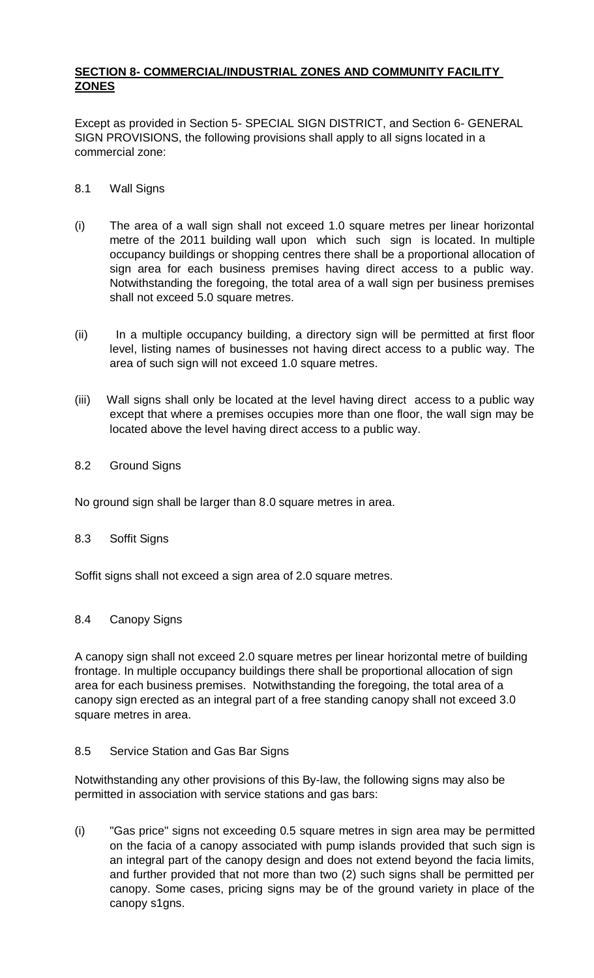## **SECTION 8- COMMERCIAL/INDUSTRIAL ZONES AND COMMUNITY FACILITY ZONES**

Except as provided in Section 5- SPECIAL SIGN DISTRICT, and Section 6- GENERAL SIGN PROVISIONS, the following provisions shall apply to all signs located in a commercial zone:

### 8.1 Wall Signs

- (i) The area of a wall sign shall not exceed 1.0 square metres per linear horizontal metre of the 2011 building wall upon which such sign is located. In multiple occupancy buildings or shopping centres there shall be a proportional allocation of sign area for each business premises having direct access to a public way. Notwithstanding the foregoing, the total area of a wall sign per business premises shall not exceed 5.0 square metres.
- (ii) In a multiple occupancy building, a directory sign will be permitted at first floor level, listing names of businesses not having direct access to a public way. The area of such sign will not exceed 1.0 square metres.
- (iii) Wall signs shall only be located at the level having direct access to a public way except that where a premises occupies more than one floor, the wall sign may be located above the level having direct access to a public way.
- 8.2 Ground Signs

No ground sign shall be larger than 8.0 square metres in area.

### 8.3 Soffit Signs

Soffit signs shall not exceed a sign area of 2.0 square metres.

### 8.4 Canopy Signs

A canopy sign shall not exceed 2.0 square metres per linear horizontal metre of building frontage. In multiple occupancy buildings there shall be proportional allocation of sign area for each business premises. Notwithstanding the foregoing, the total area of a canopy sign erected as an integral part of a free standing canopy shall not exceed 3.0 square metres in area.

#### 8.5 Service Station and Gas Bar Signs

Notwithstanding any other provisions of this By-law, the following signs may also be permitted in association with service stations and gas bars:

(i) "Gas price" signs not exceeding 0.5 square metres in sign area may be permitted on the facia of a canopy associated with pump islands provided that such sign is an integral part of the canopy design and does not extend beyond the facia limits, and further provided that not more than two (2) such signs shall be permitted per canopy. Some cases, pricing signs may be of the ground variety in place of the canopy s1gns.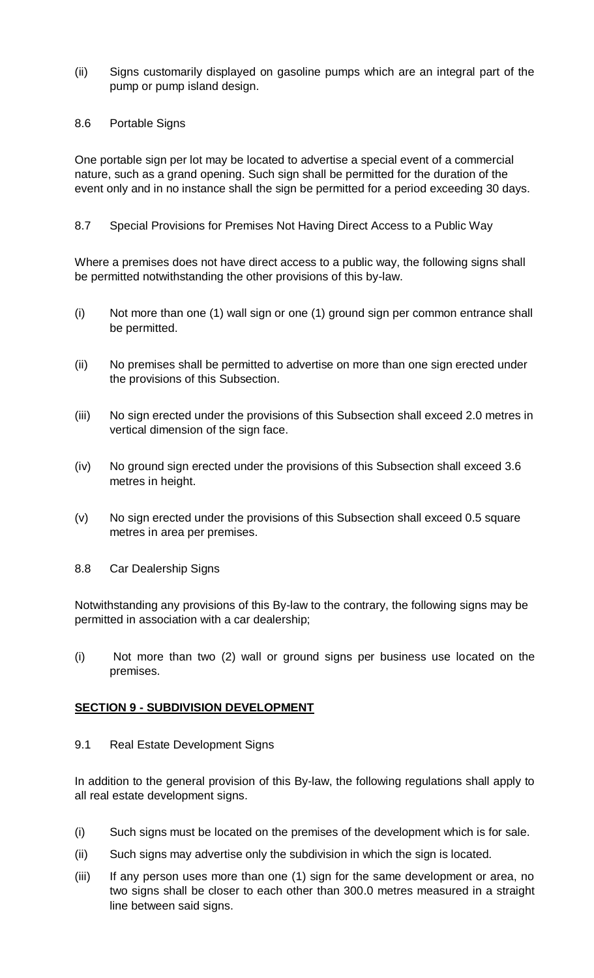- (ii) Signs customarily displayed on gasoline pumps which are an integral part of the pump or pump island design.
- 8.6 Portable Signs

One portable sign per lot may be located to advertise a special event of a commercial nature, such as a grand opening. Such sign shall be permitted for the duration of the event only and in no instance shall the sign be permitted for a period exceeding 30 days.

8.7 Special Provisions for Premises Not Having Direct Access to a Public Way

Where a premises does not have direct access to a public way, the following signs shall be permitted notwithstanding the other provisions of this by-law.

- (i) Not more than one (1) wall sign or one (1) ground sign per common entrance shall be permitted.
- (ii) No premises shall be permitted to advertise on more than one sign erected under the provisions of this Subsection.
- (iii) No sign erected under the provisions of this Subsection shall exceed 2.0 metres in vertical dimension of the sign face.
- (iv) No ground sign erected under the provisions of this Subsection shall exceed 3.6 metres in height.
- (v) No sign erected under the provisions of this Subsection shall exceed 0.5 square metres in area per premises.
- 8.8 Car Dealership Signs

Notwithstanding any provisions of this By-law to the contrary, the following signs may be permitted in association with a car dealership;

(i) Not more than two (2) wall or ground signs per business use located on the premises.

### **SECTION 9 - SUBDIVISION DEVELOPMENT**

9.1 Real Estate Development Signs

In addition to the general provision of this By-law, the following regulations shall apply to all real estate development signs.

- (i) Such signs must be located on the premises of the development which is for sale.
- (ii) Such signs may advertise only the subdivision in which the sign is located.
- (iii) If any person uses more than one (1) sign for the same development or area, no two signs shall be closer to each other than 300.0 metres measured in a straight line between said signs.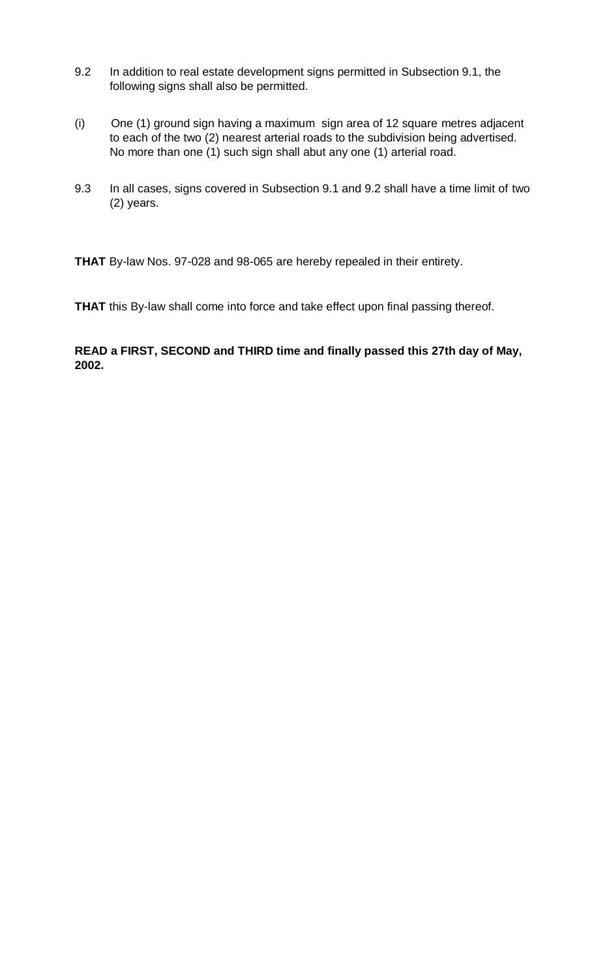- 9.2 In addition to real estate development signs permitted in Subsection 9.1, the following signs shall also be permitted.
- (i) One (1) ground sign having a maximum sign area of 12 square metres adjacent to each of the two (2) nearest arterial roads to the subdivision being advertised. No more than one (1) such sign shall abut any one (1) arterial road.
- 9.3 In all cases, signs covered in Subsection 9.1 and 9.2 shall have a time limit of two (2) years.

**THAT** By-law Nos. 97-028 and 98-065 are hereby repealed in their entirety.

**THAT** this By-law shall come into force and take effect upon final passing thereof.

**READ a FIRST, SECOND and THIRD time and finally passed this 27th day of May, 2002.**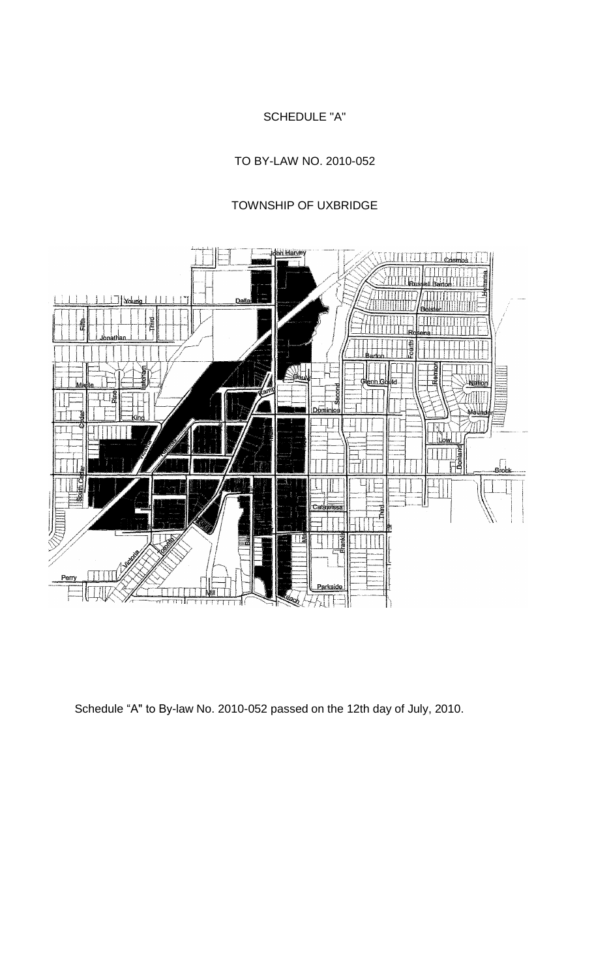# SCHEDULE "A"

TO BY-LAW NO. 2010-052

# TOWNSHIP OF UXBRIDGE



Schedule "A" to By-law No. 2010-052 passed on the 12th day of July, 2010.